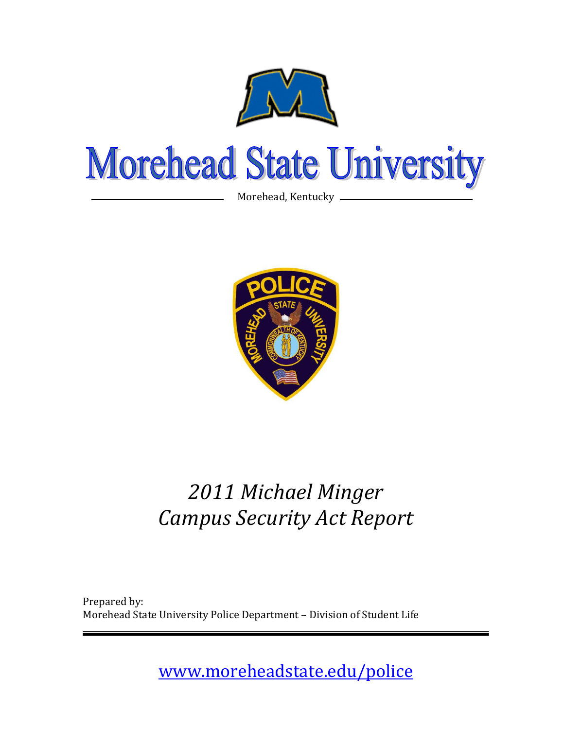

Morehead, Kentucky



# *2011 Michael Minger Campus Security Act Report*

Prepared by: Morehead State University Police Department – Division of Student Life

[www.moreheadstate.edu/police](http://www.moreheadstate.edu/units/safety)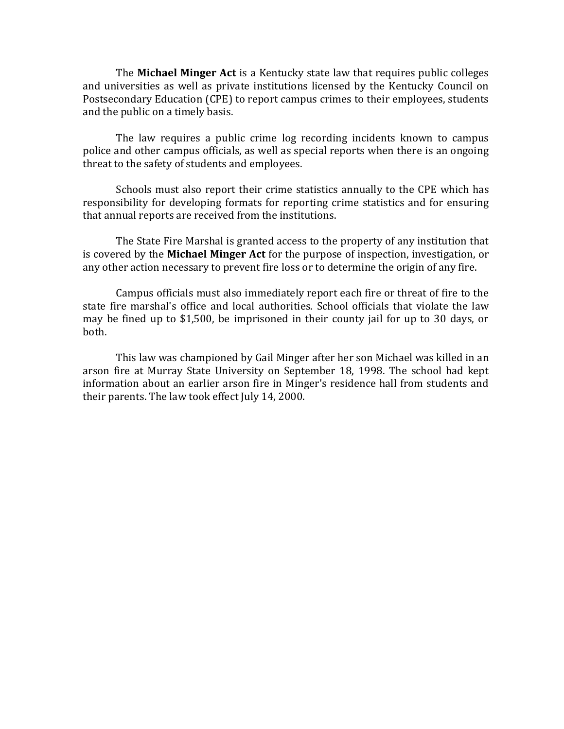The **Michael Minger Act** is a Kentucky state law that requires public colleges and universities as well as private institutions licensed by the Kentucky [Council on](http://www.cpe.state.ky.us/)  [Postsecondary Education](http://www.cpe.state.ky.us/) (CPE) to report campus crimes to their employees, students and the public on a timely basis.

The law requires a public crime log recording incidents known to campus police and other campus officials, as well as special reports when there is an ongoing threat to the safety of students and employees.

Schools must also report their crime statistics annually to the CPE which has responsibility for developing formats for reporting crime statistics and for ensuring that annual reports are received from the institutions.

The State Fire Marshal is granted access to the property of any institution that is covered by the **Michael Minger Act** for the purpose of inspection, investigation, or any other action necessary to prevent fire loss or to determine the origin of any fire.

Campus officials must also immediately report each fire or threat of fire to the state fire marshal's office and local authorities. School officials that violate the law may be fined up to \$1,500, be imprisoned in their county jail for up to 30 days, or both.

This law was championed by [Gail Minger](http://www.securityoncampus.org/aboutsoc/cleryaward/1999_2000.html) after her son Michael was killed in an arson fire at Murray State University on September 18, 1998. The school had kept information about an earlier arson fire in Minger's residence hall from students and their parents. The law took effect July 14, 2000.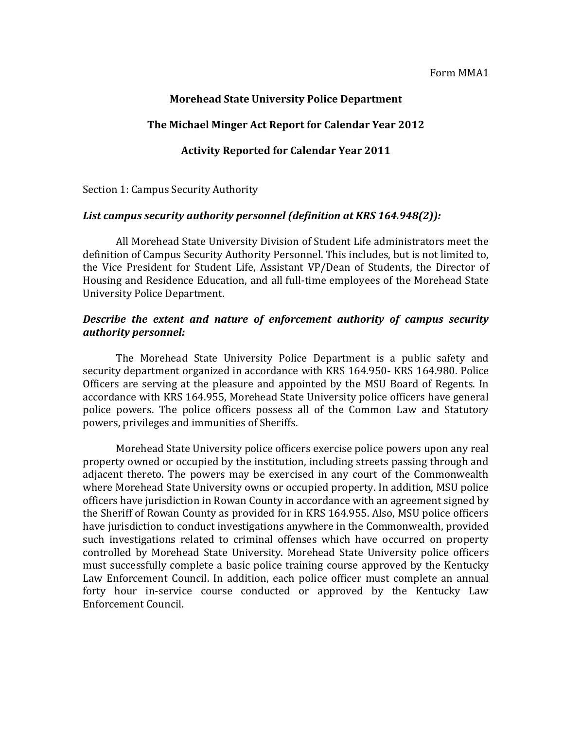# **Morehead State University Police Department**

### **The Michael Minger Act Report for Calendar Year 2012**

### **Activity Reported for Calendar Year 2011**

Section 1: Campus Security Authority

#### *List campus security authority personnel (definition at KRS 164.948(2)):*

All Morehead State University Division of Student Life administrators meet the definition of Campus Security Authority Personnel. This includes, but is not limited to, the Vice President for Student Life, Assistant VP/Dean of Students, the Director of Housing and Residence Education, and all full-time employees of the Morehead State University Police Department.

# *Describe the extent and nature of enforcement authority of campus security authority personnel:*

The Morehead State University Police Department is a public safety and security department organized in accordance with KRS 164.950- KRS 164.980. Police Officers are serving at the pleasure and appointed by the MSU Board of Regents. In accordance with KRS 164.955, Morehead State University police officers have general police powers. The police officers possess all of the Common Law and Statutory powers, privileges and immunities of Sheriffs.

Morehead State University police officers exercise police powers upon any real property owned or occupied by the institution, including streets passing through and adjacent thereto. The powers may be exercised in any court of the Commonwealth where Morehead State University owns or occupied property. In addition, MSU police officers have jurisdiction in Rowan County in accordance with an agreement signed by the Sheriff of Rowan County as provided for in KRS 164.955. Also, MSU police officers have jurisdiction to conduct investigations anywhere in the Commonwealth, provided such investigations related to criminal offenses which have occurred on property controlled by Morehead State University. Morehead State University police officers must successfully complete a basic police training course approved by the Kentucky Law Enforcement Council. In addition, each police officer must complete an annual forty hour in-service course conducted or approved by the Kentucky Law Enforcement Council.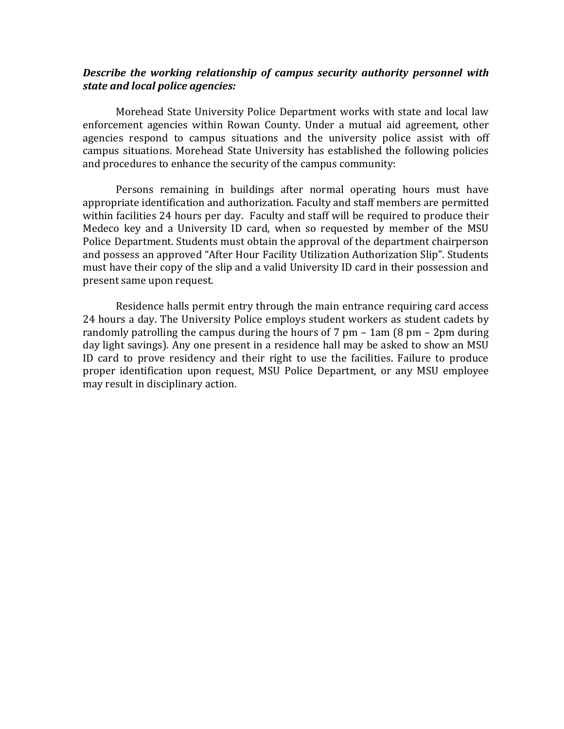## *Describe the working relationship of campus security authority personnel with state and local police agencies:*

Morehead State University Police Department works with state and local law enforcement agencies within Rowan County. Under a mutual aid agreement, other agencies respond to campus situations and the university police assist with off campus situations. Morehead State University has established the following policies and procedures to enhance the security of the campus community:

Persons remaining in buildings after normal operating hours must have appropriate identification and authorization. Faculty and staff members are permitted within facilities 24 hours per day. Faculty and staff will be required to produce their Medeco key and a University ID card, when so requested by member of the MSU Police Department. Students must obtain the approval of the department chairperson and possess an approved "After Hour Facility Utilization Authorization Slip". Students must have their copy of the slip and a valid University ID card in their possession and present same upon request.

Residence halls permit entry through the main entrance requiring card access 24 hours a day. The University Police employs student workers as student cadets by randomly patrolling the campus during the hours of 7 pm – 1am (8 pm – 2pm during day light savings). Any one present in a residence hall may be asked to show an MSU ID card to prove residency and their right to use the facilities. Failure to produce proper identification upon request, MSU Police Department, or any MSU employee may result in disciplinary action.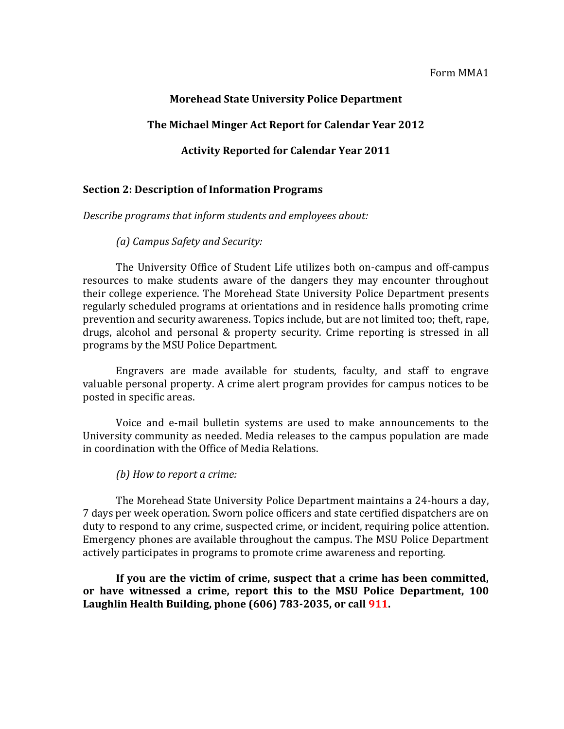Form MMA1

# **Morehead State University Police Department**

#### **The Michael Minger Act Report for Calendar Year 2012**

#### **Activity Reported for Calendar Year 2011**

#### **Section 2: Description of Information Programs**

*Describe programs that inform students and employees about:*

#### *(a) Campus Safety and Security:*

The University Office of Student Life utilizes both on-campus and off-campus resources to make students aware of the dangers they may encounter throughout their college experience. The Morehead State University Police Department presents regularly scheduled programs at orientations and in residence halls promoting crime prevention and security awareness. Topics include, but are not limited too; theft, rape, drugs, alcohol and personal & property security. Crime reporting is stressed in all programs by the MSU Police Department.

Engravers are made available for students, faculty, and staff to engrave valuable personal property. A crime alert program provides for campus notices to be posted in specific areas.

Voice and e-mail bulletin systems are used to make announcements to the University community as needed. Media releases to the campus population are made in coordination with the Office of Media Relations.

#### *(b) How to report a crime:*

The Morehead State University Police Department maintains a 24-hours a day, 7 days per week operation. Sworn police officers and state certified dispatchers are on duty to respond to any crime, suspected crime, or incident, requiring police attention. Emergency phones are available throughout the campus. The MSU Police Department actively participates in programs to promote crime awareness and reporting.

**If you are the victim of crime, suspect that a crime has been committed, or have witnessed a crime, report this to the MSU Police Department, 100 Laughlin Health Building, phone (606) 783-2035, or call 911.**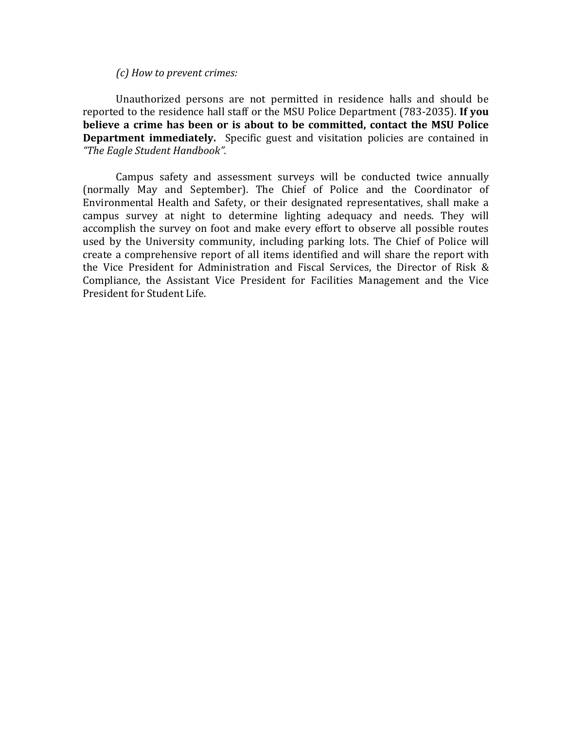#### *(c) How to prevent crimes:*

Unauthorized persons are not permitted in residence halls and should be reported to the residence hall staff or the MSU Police Department (783-2035). **If you believe a crime has been or is about to be committed, contact the MSU Police Department immediately.** Specific guest and visitation policies are contained in *"The Eagle Student Handbook".*

Campus safety and assessment surveys will be conducted twice annually (normally May and September). The Chief of Police and the Coordinator of Environmental Health and Safety, or their designated representatives, shall make a campus survey at night to determine lighting adequacy and needs. They will accomplish the survey on foot and make every effort to observe all possible routes used by the University community, including parking lots. The Chief of Police will create a comprehensive report of all items identified and will share the report with the Vice President for Administration and Fiscal Services, the Director of Risk & Compliance, the Assistant Vice President for Facilities Management and the Vice President for Student Life.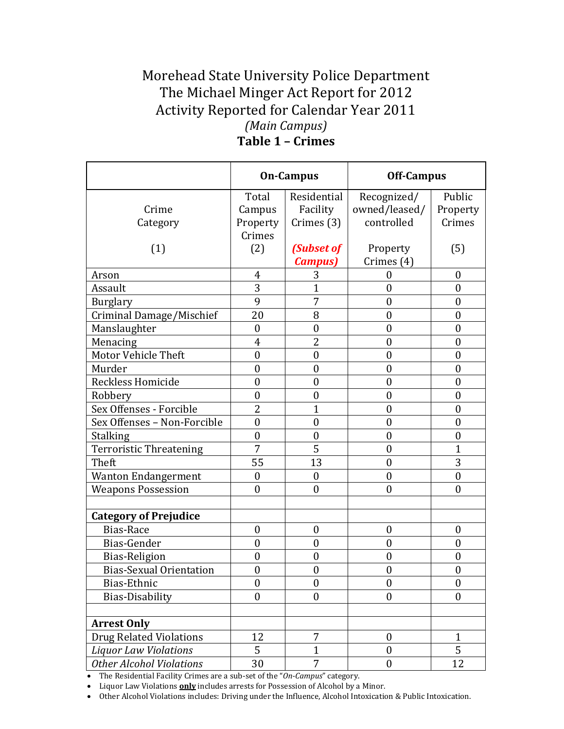# Morehead State University Police Department The Michael Minger Act Report for 2012 Activity Reported for Calendar Year 2011 *(Main Campus)* **Table 1 – Crimes**

|                                 | <b>On-Campus</b> |                  | <b>Off-Campus</b> |                  |
|---------------------------------|------------------|------------------|-------------------|------------------|
|                                 | Total            | Residential      | Recognized/       | Public           |
| Crime                           | Campus           | Facility         | owned/leased/     | Property         |
| Category                        | Property         | Crimes (3)       | controlled        | Crimes           |
|                                 | Crimes           |                  |                   |                  |
| (1)                             | (2)              | (Subset of       | Property          | (5)              |
|                                 |                  | <b>Campus</b> )  | Crimes (4)        |                  |
| Arson                           | 4                | 3                | $\boldsymbol{0}$  | $\boldsymbol{0}$ |
| Assault                         | 3                | $\mathbf{1}$     | $\boldsymbol{0}$  | $\overline{0}$   |
| <b>Burglary</b>                 | 9                | 7                | $\boldsymbol{0}$  | $\boldsymbol{0}$ |
| Criminal Damage/Mischief        | 20               | 8                | $\boldsymbol{0}$  | $\boldsymbol{0}$ |
| Manslaughter                    | $\boldsymbol{0}$ | $\boldsymbol{0}$ | $\boldsymbol{0}$  | $\boldsymbol{0}$ |
| Menacing                        | 4                | $\overline{2}$   | $\boldsymbol{0}$  | $\boldsymbol{0}$ |
| Motor Vehicle Theft             | $\boldsymbol{0}$ | $\boldsymbol{0}$ | $\boldsymbol{0}$  | $\boldsymbol{0}$ |
| Murder                          | $\boldsymbol{0}$ | $\boldsymbol{0}$ | $\boldsymbol{0}$  | $\boldsymbol{0}$ |
| Reckless Homicide               | $\boldsymbol{0}$ | $\boldsymbol{0}$ | $\boldsymbol{0}$  | $\overline{0}$   |
| Robbery                         | $\boldsymbol{0}$ | $\boldsymbol{0}$ | $\boldsymbol{0}$  | $\boldsymbol{0}$ |
| Sex Offenses - Forcible         | $\overline{2}$   | 1                | $\boldsymbol{0}$  | $\boldsymbol{0}$ |
| Sex Offenses - Non-Forcible     | $\boldsymbol{0}$ | $\boldsymbol{0}$ | $\boldsymbol{0}$  | $\boldsymbol{0}$ |
| <b>Stalking</b>                 | $\boldsymbol{0}$ | $\boldsymbol{0}$ | $\boldsymbol{0}$  | $\boldsymbol{0}$ |
| <b>Terroristic Threatening</b>  | 7                | 5                | $\boldsymbol{0}$  | $\overline{1}$   |
| Theft                           | 55               | 13               | $\boldsymbol{0}$  | 3                |
| <b>Wanton Endangerment</b>      | $\boldsymbol{0}$ | $\boldsymbol{0}$ | $\boldsymbol{0}$  | $\boldsymbol{0}$ |
| <b>Weapons Possession</b>       | $\overline{0}$   | $\mathbf{0}$     | $\boldsymbol{0}$  | $\boldsymbol{0}$ |
|                                 |                  |                  |                   |                  |
| <b>Category of Prejudice</b>    |                  |                  |                   |                  |
| Bias-Race                       | $\boldsymbol{0}$ | $\boldsymbol{0}$ | $\boldsymbol{0}$  | $\boldsymbol{0}$ |
| Bias-Gender                     | $\boldsymbol{0}$ | $\mathbf{0}$     | $\boldsymbol{0}$  | $\overline{0}$   |
| Bias-Religion                   | $\boldsymbol{0}$ | $\boldsymbol{0}$ | $\boldsymbol{0}$  | $\boldsymbol{0}$ |
| <b>Bias-Sexual Orientation</b>  | $\boldsymbol{0}$ | $\boldsymbol{0}$ | $\boldsymbol{0}$  | $\boldsymbol{0}$ |
| Bias-Ethnic                     | $\boldsymbol{0}$ | $\boldsymbol{0}$ | $\boldsymbol{0}$  | $\boldsymbol{0}$ |
| <b>Bias-Disability</b>          | $\overline{0}$   | $\boldsymbol{0}$ | $\mathbf{0}$      | $\mathbf{0}$     |
|                                 |                  |                  |                   |                  |
| <b>Arrest Only</b>              |                  |                  |                   |                  |
| <b>Drug Related Violations</b>  | 12               | 7                | $\boldsymbol{0}$  | $\mathbf{1}$     |
| <b>Liquor Law Violations</b>    | 5                | $\mathbf{1}$     | $\boldsymbol{0}$  | 5                |
| <b>Other Alcohol Violations</b> | 30               | 7                | $\boldsymbol{0}$  | 12               |

The Residential Facility Crimes are a sub-set of the "*On-Campus*" category.

Liquor Law Violations **only** includes arrests for Possession of Alcohol by a Minor.

Other Alcohol Violations includes: Driving under the Influence, Alcohol Intoxication & Public Intoxication.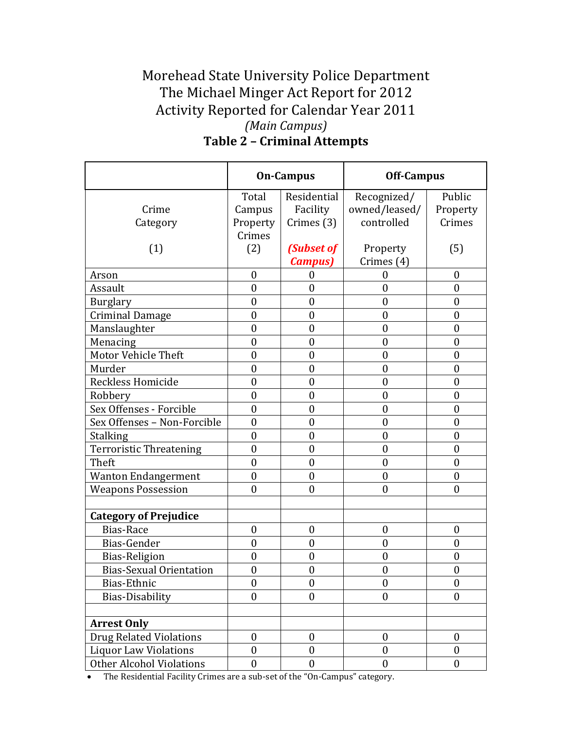# Morehead State University Police Department The Michael Minger Act Report for 2012 Activity Reported for Calendar Year 2011 *(Main Campus)* **Table 2 – Criminal Attempts**

|                                 | <b>On-Campus</b> |                  | <b>Off-Campus</b> |                  |
|---------------------------------|------------------|------------------|-------------------|------------------|
|                                 | Total            | Residential      | Recognized/       | Public           |
| Crime                           | Campus           | Facility         | owned/leased/     | Property         |
| Category                        | Property         | Crimes (3)       | controlled        | Crimes           |
|                                 | Crimes           |                  |                   |                  |
| (1)                             | (2)              | (Subset of       | Property          | (5)              |
|                                 |                  | <b>Campus</b> )  | Crimes (4)        |                  |
| Arson                           | $\boldsymbol{0}$ | $\boldsymbol{0}$ | $\boldsymbol{0}$  | $\boldsymbol{0}$ |
| Assault                         | $\boldsymbol{0}$ | $\boldsymbol{0}$ | $\overline{0}$    | $\mathbf{0}$     |
| <b>Burglary</b>                 | $\boldsymbol{0}$ | $\boldsymbol{0}$ | $\boldsymbol{0}$  | $\mathbf{0}$     |
| <b>Criminal Damage</b>          | $\overline{0}$   | $\boldsymbol{0}$ | 0                 | $\theta$         |
| Manslaughter                    | $\boldsymbol{0}$ | $\boldsymbol{0}$ | $\boldsymbol{0}$  | $\boldsymbol{0}$ |
| Menacing                        | $\boldsymbol{0}$ | $\boldsymbol{0}$ | $\boldsymbol{0}$  | $\mathbf{0}$     |
| Motor Vehicle Theft             | $\overline{0}$   | $\boldsymbol{0}$ | $\boldsymbol{0}$  | $\boldsymbol{0}$ |
| Murder                          | $\boldsymbol{0}$ | $\boldsymbol{0}$ | $\boldsymbol{0}$  | $\mathbf{0}$     |
| Reckless Homicide               | $\boldsymbol{0}$ | $\boldsymbol{0}$ | $\overline{0}$    | $\mathbf{0}$     |
| Robbery                         | $\boldsymbol{0}$ | $\boldsymbol{0}$ | $\boldsymbol{0}$  | $\mathbf{0}$     |
| Sex Offenses - Forcible         | $\boldsymbol{0}$ | $\boldsymbol{0}$ | $\overline{0}$    | $\theta$         |
| Sex Offenses - Non-Forcible     | $\boldsymbol{0}$ | $\boldsymbol{0}$ | $\boldsymbol{0}$  | $\boldsymbol{0}$ |
| <b>Stalking</b>                 | $\boldsymbol{0}$ | $\boldsymbol{0}$ | $\boldsymbol{0}$  | $\mathbf{0}$     |
| <b>Terroristic Threatening</b>  | $\boldsymbol{0}$ | $\boldsymbol{0}$ | $\boldsymbol{0}$  | $\boldsymbol{0}$ |
| Theft                           | $\boldsymbol{0}$ | $\boldsymbol{0}$ | $\boldsymbol{0}$  | $\boldsymbol{0}$ |
| <b>Wanton Endangerment</b>      | $\boldsymbol{0}$ | $\boldsymbol{0}$ | $\overline{0}$    | $\mathbf{0}$     |
| <b>Weapons Possession</b>       | $\overline{0}$   | $\boldsymbol{0}$ | $\overline{0}$    | $\theta$         |
|                                 |                  |                  |                   |                  |
| <b>Category of Prejudice</b>    |                  |                  |                   |                  |
| <b>Bias-Race</b>                | $\boldsymbol{0}$ | $\boldsymbol{0}$ | $\boldsymbol{0}$  | $\boldsymbol{0}$ |
| Bias-Gender                     | $\overline{0}$   | $\boldsymbol{0}$ | $\boldsymbol{0}$  | $\overline{0}$   |
| Bias-Religion                   | $\boldsymbol{0}$ | $\boldsymbol{0}$ | $\boldsymbol{0}$  | $\boldsymbol{0}$ |
| <b>Bias-Sexual Orientation</b>  | $\boldsymbol{0}$ | $\boldsymbol{0}$ | $\boldsymbol{0}$  | $\boldsymbol{0}$ |
| Bias-Ethnic                     | 0                | 0                | $\boldsymbol{0}$  | $\boldsymbol{0}$ |
| <b>Bias-Disability</b>          | $\overline{0}$   | $\boldsymbol{0}$ | $\boldsymbol{0}$  | $\mathbf{0}$     |
|                                 |                  |                  |                   |                  |
| <b>Arrest Only</b>              |                  |                  |                   |                  |
| <b>Drug Related Violations</b>  | $\boldsymbol{0}$ | $\boldsymbol{0}$ | $\boldsymbol{0}$  | $\mathbf{0}$     |
| <b>Liquor Law Violations</b>    | $\boldsymbol{0}$ | $\boldsymbol{0}$ | $\boldsymbol{0}$  | $\boldsymbol{0}$ |
| <b>Other Alcohol Violations</b> | $\boldsymbol{0}$ | 0                | $\boldsymbol{0}$  | $\mathbf{0}$     |

The Residential Facility Crimes are a sub-set of the "On-Campus" category.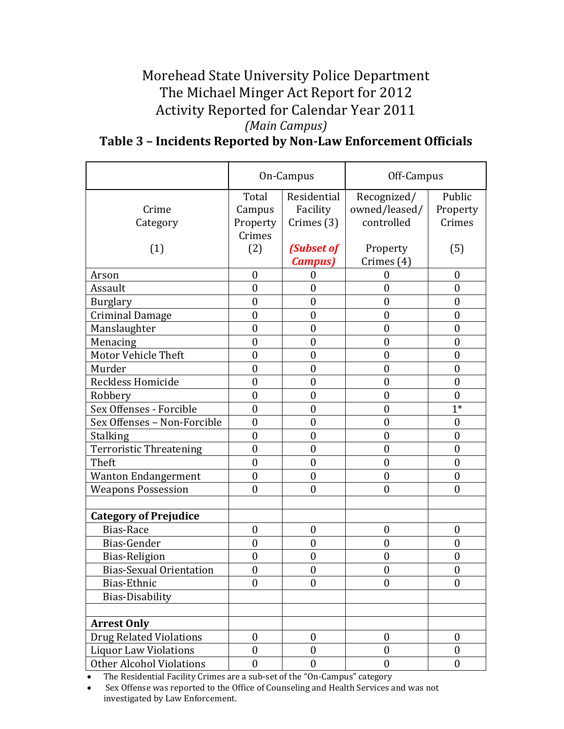# Morehead State University Police Department The Michael Minger Act Report for 2012 Activity Reported for Calendar Year 2011 *(Main Campus)*

# **Table 3 – Incidents Reported by Non-Law Enforcement Officials**

|                                 | On-Campus        |                  | Off-Campus       |                  |
|---------------------------------|------------------|------------------|------------------|------------------|
|                                 | Total            | Residential      | Recognized/      | Public           |
| Crime                           | Campus           | Facility         | owned/leased/    | Property         |
| Category                        | Property         | Crimes (3)       | controlled       | Crimes           |
|                                 | Crimes           |                  |                  |                  |
| (1)                             | (2)              | (Subset of       | Property         | (5)              |
|                                 |                  | <b>Campus</b> )  | Crimes (4)       |                  |
| Arson                           | $\boldsymbol{0}$ | $\boldsymbol{0}$ | $\overline{0}$   | 0                |
| Assault                         | $\overline{0}$   | $\overline{0}$   | $\boldsymbol{0}$ | $\overline{0}$   |
| <b>Burglary</b>                 | $\boldsymbol{0}$ | $\boldsymbol{0}$ | $\boldsymbol{0}$ | $\boldsymbol{0}$ |
| <b>Criminal Damage</b>          | $\overline{0}$   | $\boldsymbol{0}$ | $\boldsymbol{0}$ | $\overline{0}$   |
| Manslaughter                    | $\overline{0}$   | $\boldsymbol{0}$ | $\boldsymbol{0}$ | $\boldsymbol{0}$ |
| Menacing                        | $\boldsymbol{0}$ | $\boldsymbol{0}$ | $\boldsymbol{0}$ | $\boldsymbol{0}$ |
| Motor Vehicle Theft             | $\boldsymbol{0}$ | $\boldsymbol{0}$ | $\boldsymbol{0}$ | $\boldsymbol{0}$ |
| Murder                          | $\boldsymbol{0}$ | $\boldsymbol{0}$ | $\boldsymbol{0}$ | $\boldsymbol{0}$ |
| Reckless Homicide               | $\mathbf{0}$     | $\boldsymbol{0}$ | $\boldsymbol{0}$ | $\boldsymbol{0}$ |
| Robbery                         | $\boldsymbol{0}$ | $\boldsymbol{0}$ | $\boldsymbol{0}$ | $\boldsymbol{0}$ |
| Sex Offenses - Forcible         | $\overline{0}$   | $\overline{0}$   | $\boldsymbol{0}$ | $1*$             |
| Sex Offenses - Non-Forcible     | $\boldsymbol{0}$ | $\boldsymbol{0}$ | $\boldsymbol{0}$ | $\boldsymbol{0}$ |
| Stalking                        | $\boldsymbol{0}$ | $\boldsymbol{0}$ | $\boldsymbol{0}$ | $\boldsymbol{0}$ |
| <b>Terroristic Threatening</b>  | $\mathbf{0}$     | $\boldsymbol{0}$ | $\boldsymbol{0}$ | $\boldsymbol{0}$ |
| Theft                           | $\boldsymbol{0}$ | $\boldsymbol{0}$ | $\boldsymbol{0}$ | $\boldsymbol{0}$ |
| Wanton Endangerment             | $\boldsymbol{0}$ | $\boldsymbol{0}$ | $\boldsymbol{0}$ | $\overline{0}$   |
| <b>Weapons Possession</b>       | $\boldsymbol{0}$ | $\boldsymbol{0}$ | $\boldsymbol{0}$ | 0                |
|                                 |                  |                  |                  |                  |
| <b>Category of Prejudice</b>    |                  |                  |                  |                  |
| <b>Bias-Race</b>                | $\boldsymbol{0}$ | $\boldsymbol{0}$ | $\boldsymbol{0}$ | 0                |
| Bias-Gender                     | $\boldsymbol{0}$ | $\boldsymbol{0}$ | $\boldsymbol{0}$ | $\boldsymbol{0}$ |
| Bias-Religion                   | $\boldsymbol{0}$ | $\boldsymbol{0}$ | $\boldsymbol{0}$ | $\boldsymbol{0}$ |
| <b>Bias-Sexual Orientation</b>  | $\overline{0}$   | $\boldsymbol{0}$ | $\overline{0}$   | $\overline{0}$   |
| Bias-Ethnic                     | $\boldsymbol{0}$ | $\boldsymbol{0}$ | $\boldsymbol{0}$ | 0                |
| <b>Bias-Disability</b>          |                  |                  |                  |                  |
|                                 |                  |                  |                  |                  |
| <b>Arrest Only</b>              |                  |                  |                  |                  |
| <b>Drug Related Violations</b>  | $\boldsymbol{0}$ | $\boldsymbol{0}$ | $\boldsymbol{0}$ | $\boldsymbol{0}$ |
| <b>Liquor Law Violations</b>    | $\boldsymbol{0}$ | $\boldsymbol{0}$ | $\boldsymbol{0}$ | $\boldsymbol{0}$ |
| <b>Other Alcohol Violations</b> | $\boldsymbol{0}$ | $\boldsymbol{0}$ | $\boldsymbol{0}$ | $\boldsymbol{0}$ |

The Residential Facility Crimes are a sub-set of the "On-Campus" category

 Sex Offense was reported to the Office of Counseling and Health Services and was not investigated by Law Enforcement.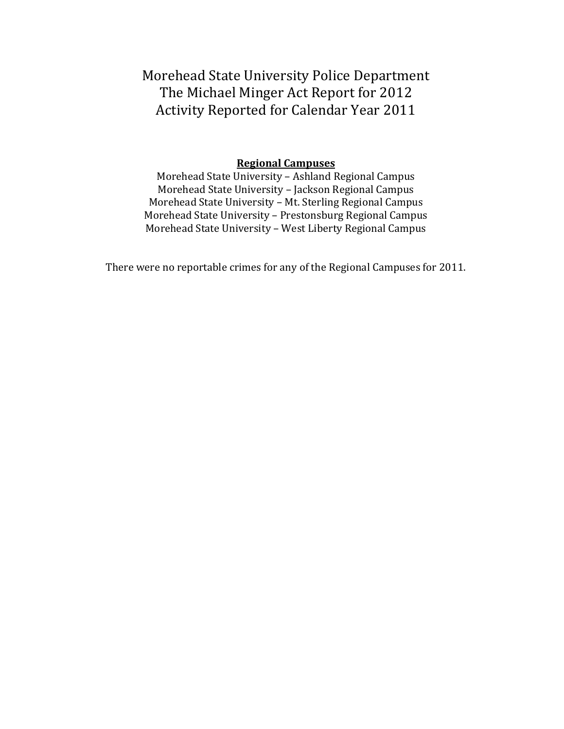Morehead State University Police Department The Michael Minger Act Report for 2012 Activity Reported for Calendar Year 2011

### **Regional Campuses**

Morehead State University – Ashland Regional Campus Morehead State University – Jackson Regional Campus Morehead State University – Mt. Sterling Regional Campus Morehead State University – Prestonsburg Regional Campus Morehead State University – West Liberty Regional Campus

There were no reportable crimes for any of the Regional Campuses for 2011.